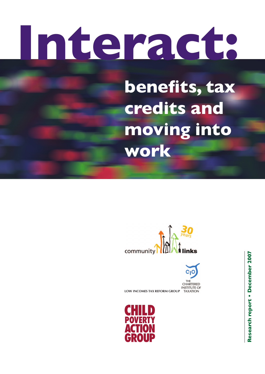# **Interact:**

**benefits, tax credits and moving into work**





**INSTITUTE OF LOW INCOMES TAX REFORM GROUP** TAXATION

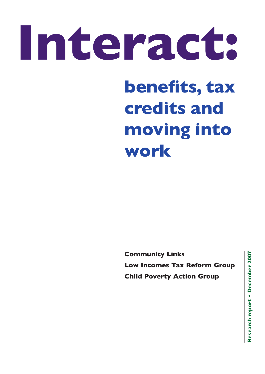# **Interact:**

## **benefits, tax credits and moving into work**

**Community Links Low Incomes Tax Reform Group Child Poverty Action Group**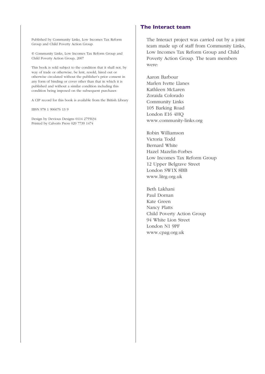Published by Community Links, Low Incomes Tax Reform Group and Child Poverty Action Group

© Community Links, Low Incomes Tax Reform Group and Child Poverty Action Group, 2007

This book is sold subject to the condition that it shall not, by way of trade or otherwise, be lent, resold, hired out or otherwise circulated without the publisher's prior consent in any form of binding or cover other than that in which it is published and without a similar condition including this condition being imposed on the subsequent purchaser.

A CIP record for this book is available from the British Library

IBSN 978 1 906076 13 9

Design by Devious Designs 0114 2755634 Printed by Calverts Press 020 7739 1474

#### **The Interact team**

The Interact project was carried out by a joint team made up of staff from Community Links, Low Incomes Tax Reform Group and Child Poverty Action Group. The team members were:

Aaron Barbour Marlen Ivette Llanes Kathleen McLaren Zoraida Colorado Community Links 105 Barking Road London E16 4HQ www.community-links.org

Robin Williamson Victoria Todd Bernard White Hazel Mazelin-Forbes Low Incomes Tax Reform Group 12 Upper Belgrave Street London SW1X 8BB www.litrg.org.uk

Beth Lakhani Paul Dornan Kate Green Nancy Platts Child Poverty Action Group 94 White Lion Street London N1 9PF www.cpag.org.uk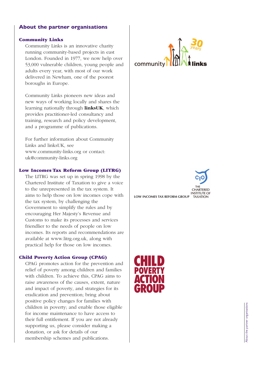#### **About the partner organisations**

#### **Community** Links

Community Links is an innovative charity running community-based projects in east London. Founded in 1977, we now help over 53,000 vulnerable children, young people and adults every year, with most of our work delivered in Newham, one of the poorest boroughs in Europe.

Community Links pioneers new ideas and new ways of working locally and shares the learning nationally through **linksUK**, which provides practitioner-led consultancy and training, research and policy development, and a programme of publications.

For further information about Community Links and linksUK, see www.community-links.org or contact: uk@community-links.org

#### Low Incomes Tax Reform Group (LITRG)

The LITRG was set up in spring 1998 by the Chartered Institute of Taxation to give a voice to the unrepresented in the tax system. It aims to help those on low incomes cope with the tax system, by challenging the Government to simplify the rules and by encouraging Her Majesty's Revenue and Customs to make its processes and services friendlier to the needs of people on low incomes. Its reports and recommendations are available at www.litrg.org.uk. along with practical help for those on low incomes.

#### **Child Poverty Action Group (CPAG)**

CPAG promotes action for the prevention and relief of poverty among children and families with children. To achieve this, CPAG aims to raise awareness of the causes, extent, nature and impact of poverty, and strategies for its eradication and prevention: bring about positive policy changes for families with children in poverty: and enable those eligible for income maintenance to have access to their full entitlement. If you are not already supporting us, please consider making a donation, or ask for details of our membership schemes and publications.







About the partner organisations About the partner organisations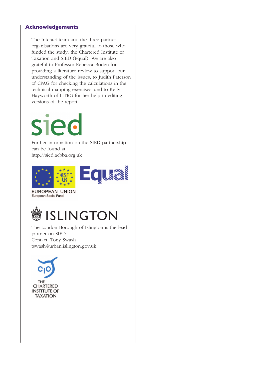#### **Acknowledgements**

The Interact team and the three partner organisations are very grateful to those who funded the study: the Chartered Institute of Taxation and SIED (Equal). We are also grateful to Professor Rebecca Boden for providing a literature review to support our understanding of the issues, to Judith Paterson of CPAG for checking the calculations in the technical mapping exercises, and to Kelly Hayworth of LITRG for her help in editing versions of the report.

## **sied**

Further information on the SIED partnership can be found at: http://sied.acbba.org.uk



**EUROPEAN UNION** European Social Fund



The London Borough of Islington is the lead partner on SIED. Contact: Tony Swash tswash@urban.islington.gov.uk

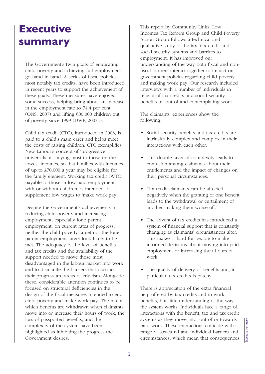## **Executive summary**

The Government's twin goals of eradicating child poverty and achieving full employment go hand in hand. A series of fiscal policies, most notably tax credits, have been introduced in recent years to support the achievement of these goals. These measures have enjoyed some success, helping bring about an increase in the employment rate to 74.4 per cent (ONS, 2007) and lifting 600,000 children out of poverty since 1999 (DWP, 2007a).

Child tax credit (CTC), introduced in 2003, is paid to a child's main carer and helps meet the costs of raising children. CTC exemplifies New Labour's concept of 'progressive universalism', paying most to those on the lowest incomes, so that families with incomes of up to £70,000 a year may be eligible for the family element. Working tax credit (WTC), payable to those in low-paid employment, with or without children, is intended to supplement low wages to 'make work pay'.

Despite the Government's achievements in reducing child poverty and increasing employment, especially lone parent employment, on current rates of progress, neither the child poverty target nor the lone parent employment target look likely to be met. The adequacy of the level of benefits and tax credits and the availability of the support needed to move those most disadvantaged in the labour market into work and to dismantle the barriers that obstruct their progress are areas of criticism. Alongside these, considerable attention continues to be focused on structural deficiencies in the design of the fiscal measures intended to end child poverty and make work pay. The rate at which benefits are withdrawn when claimants move into or increase their hours of work, the loss of passported benefits, and the complexity of the system have been highlighted as inhibiting the progress the Government desires.

This report by Community Links, Low Incomes Tax Reform Group and Child Poverty Action Group follows a technical and qualitative study of the tax, tax credit and social security systems and barriers to employment. It has improved our understanding of the way both fiscal and nonfiscal barriers interact together to impact on government policies regarding child poverty and making work pay. Our research included interviews with a number of individuals in receipt of tax credits and social security benefits in, out of and contemplating work.

The claimants' experiences show the following.

- Social security benefits and tax credits are intrinsically complex and complex in their interactions with each other.
- This double layer of complexity leads to confusion among claimants about their entitlements and the impact of changes on their personal circumstances.
- Tax credit claimants can be affected negatively when the granting of one benefit leads to the withdrawal or curtailment of another, making them worse off.
- The advent of tax credits has introduced a system of financial support that is constantly changing as claimants' circumstances alter. This makes it hard for people to make informed decisions about moving into paid employment or increasing their hours of work.
- The quality of delivery of benefits and, in particular, tax credits is patchy.

There is appreciation of the extra financial help offered by tax credits and in-work benefits, but little understanding of the way the system works. Individuals face a range of interactions with the benefit, tax and tax credit systems as they move into, out of or towards paid work. These interactions coincide with a range of structural and individual barriers and circumstances, which mean that consequences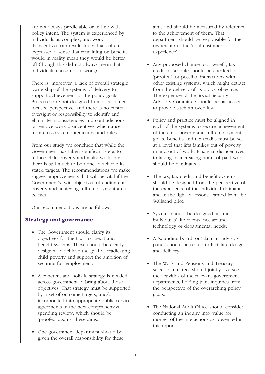are not always predictable or in line with policy intent. The system is experienced by individuals as complex, and work disincentives can result. Individuals often expressed a sense that remaining on benefits would in reality mean they would be better off (though this did not always mean that individuals chose not to work).

There is, moreover, a lack of overall strategic ownership of the systems of delivery to support achievement of the policy goals. Processes are not designed from a customerfocused perspective, and there is no central oversight or responsibility to identify and eliminate inconsistencies and contradictions, or remove work disincentives which arise from cross-system interactions and rules.

From our study we conclude that while the Government has taken significant steps to reduce child poverty and make work pay, there is still much to be done to achieve its stated targets. The recommendations we make suggest improvements that will be vital if the Government's twin objectives of ending child poverty and achieving full employment are to be met.

Our recommendations are as follows.

#### **Strategy and governance**

- The Government should clarify its objectives for the tax, tax credit and benefit systems. These should be clearly designed to achieve the goal of eradicating child poverty and support the ambition of securing full employment.
- A coherent and holistic strategy is needed across government to bring about those objectives. That strategy must be supported by a set of outcome targets, and/or incorporated into appropriate public service agreements in the next comprehensive spending review, which should be 'proofed' against these aims.
- One government department should be given the overall responsibility for these

aims and should be measured by reference to the achievement of them. That department should be responsible for the ownership of the 'total customer experience'.

- Any proposed change to a benefit, tax credit or tax rule should be checked or 'proofed' for possible interactions with other existing systems, which might detract from the delivery of its policy objective. The expertise of the Social Security Advisory Committee should be harnessed to provide such an overview.
- Policy and practice must be aligned in each of the systems to secure achievement of the child poverty and full employment goals. Benefits and tax credits must be set at a level that lifts families out of poverty in and out of work. Financial disincentives to taking or increasing hours of paid work should be eliminated.
- The tax, tax credit and benefit systems should be designed from the perspective of the experience of the individual claimant and in the light of lessons learned from the Wallsend pilot.
- Systems should be designed around individuals' life events, not around technology or departmental needs.
- A 'sounding board' or 'claimant advisory panel' should be set up to facilitate design and delivery.
- The Work and Pensions and Treasury select committees should jointly oversee the activities of the relevant government departments, holding joint inquiries from the perspective of the overarching policy goals.
- The National Audit Office should consider conducting an inquiry into 'value for money' of the interactions as presented in this report.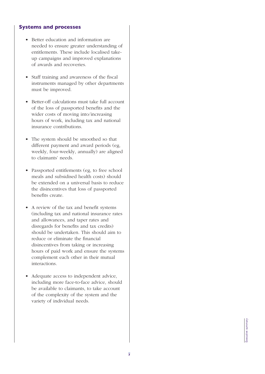#### **Systems and processes**

- Better education and information are needed to ensure greater understanding of entitlements. These include localised takeup campaigns and improved explanations of awards and recoveries.
- Staff training and awareness of the fiscal instruments managed by other departments must be improved.
- Better-off calculations must take full account of the loss of passported benefits and the wider costs of moving into/increasing hours of work, including tax and national insurance contributions.
- The system should be smoothed so that different payment and award periods (eg. weekly, four-weekly, annually) are aligned to claimants' needs.
- Passported entitlements (eg. to free school meals and subsidised health costs) should be extended on a universal basis to reduce the disincentives that loss of passported benefits create.
- A review of the tax and benefit systems (including tax and national insurance rates and allowances, and taper rates and disregards for benefits and tax credits) should be undertaken. This should aim to reduce or eliminate the financial disincentives from taking or increasing hours of paid work and ensure the systems complement each other in their mutual interactions.
- Adequate access to independent advice. including more face-to-face advice, should be available to claimants, to take account of the complexity of the system and the variety of individual needs.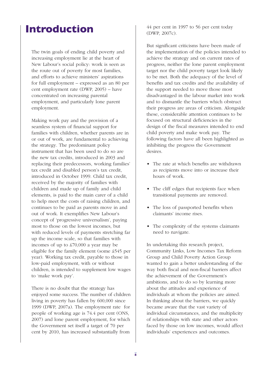## **Introduction**

The twin goals of ending child poverty and increasing employment lie at the heart of New Labour's social policy: work is seen as the route out of poverty for most families, and efforts to achieve ministers' aspirations for full employment – expressed as an 80 per cent employment rate (DWP, 2005) – have concentrated on increasing parental employment, and particularly lone parent employment.

Making work pay and the provision of a seamless system of financial support for families with children, whether parents are in or out of work, are fundamental to achieving the strategy. The predominant policy instrument that has been used to do so are the new tax credits, introduced in 2003 and replacing their predecessors, working families' tax credit and disabled person's tax credit, introduced in October 1999. Child tax credit, received by the majority of families with children and made up of family and child elements, is paid to the main carer of a child to help meet the costs of raising children, and continues to be paid as parents move in and out of work. It exemplifies New Labour's concept of 'progressive universalism', paying most to those on the lowest incomes, but with reduced levels of payments stretching far up the income scale, so that families with incomes of up to £70,000 a year may be eligible for the family element (some £545 per year). Working tax credit, payable to those in low-paid employment, with or without children, is intended to supplement low wages to 'make work pay'.

There is no doubt that the strategy has enjoyed some success. The number of children living in poverty has fallen by 600,000 since 1999 (DWP, 2007a). The employment rate for people of working age is 74.4 per cent (ONS, 2007) and lone parent employment, for which the Government set itself a target of 70 per cent by 2010, has increased substantially from

44 per cent in 1997 to 56 per cent today (DWP, 2007c).

But significant criticisms have been made of the implementation of the policies intended to achieve the strategy and on current rates of progress, neither the lone parent employment target nor the child poverty target look likely to be met. Both the adequacy of the level of benefits and tax credits and the availability of the support needed to move those most disadvantaged in the labour market into work and to dismantle the barriers which obstruct their progress are areas of criticism. Alongside these, considerable attention continues to be focused on structural deficiencies in the design of the fiscal measures intended to end child poverty and make work pay. The following factors have all been highlighted as inhibiting the progress the Government desires.

- The rate at which benefits are withdrawn as recipients move into or increase their hours of work.
- The cliff edges that recipients face when transitional payments are removed.
- The loss of passported benefits when claimants' income rises.
- The complexity of the systems claimants need to navigate.

In undertaking this research project, Community Links, Low Incomes Tax Reform Group and Child Poverty Action Group wanted to gain a better understanding of the way both fiscal and non-fiscal barriers affect the achievement of the Government's ambitions, and to do so by learning more about the attitudes and experience of individuals at whom the policies are aimed. In thinking about the barriers, we quickly became aware that the vast variety of individual circumstances, and the multiplicity of relationships with state and other actors faced by those on low incomes, would affect individuals' experiences and outcomes.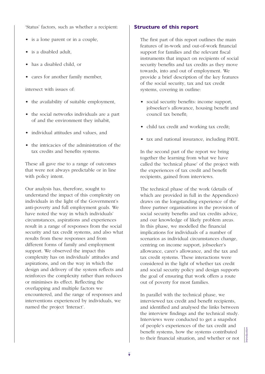'Status' factors, such as whether a recipient:

- is a lone parent or in a couple,
- is a disabled adult,
- has a disabled child, or
- cares for another family member,

intersect with issues of:

- the availability of suitable employment,
- the social networks individuals are a part of and the environment they inhabit,
- individual attitudes and values, and
- the intricacies of the administration of the tax credits and benefits systems.

These all gave rise to a range of outcomes that were not always predictable or in line with policy intent.

Our analysis has, therefore, sought to understand the impact of this complexity on individuals in the light of the Government's anti-poverty and full employment goals. We have noted the way in which individuals' circumstances, aspirations and experiences result in a range of responses from the social security and tax credit systems, and also what results from these responses and from different forms of family and employment support. We observed the impact this complexity has on individuals' attitudes and aspirations, and on the way in which the design and delivery of the system reflects and reinforces the complexity rather than reduces or minimises its effect. Reflecting the overlapping and multiple factors we encountered, and the range of responses and interventions experienced by individuals, we named the project 'Interact'.

#### **Structure of this report**

The first part of this report outlines the main features of in-work and out-of-work financial support for families and the relevant fiscal instruments that impact on recipients of social security benefits and tax credits as they move towards, into and out of employment. We provide a brief description of the key features of the social security, tax and tax credit systems, covering in outline:

- social security benefits: income support, jobseeker's allowance, housing benefit and council tax benefit;
- child tax credit and working tax credit;
- tax and national insurance, including PAYE.

In the second part of the report we bring together the learning from what we have called the 'technical phase' of the project with the experiences of tax credit and benefit recipients, gained from interviews.

The technical phase of the work (details of which are provided in full in the Appendices) draws on the longstanding experience of the three partner organisations in the provision of social security benefits and tax credits advice, and our knowledge of likely problem areas. In this phase, we modelled the financial implications for individuals of a number of scenarios as individual circumstances change, centring on income support, jobseeker's allowance, carer's allowance, and the tax and tax credit systems. These interactions were considered in the light of whether tax credit and social security policy and design supports the goal of ensuring that work offers a route out of poverty for most families.

In parallel with the technical phase, we interviewed tax credit and benefit recipients, and identified and analysed the links between the interview findings and the technical study. Interviews were conducted to get a snapshot of people's experiences of the tax credit and benefit systems, how the systems contributed to the therm of the their financial situation, and whether or not  $\begin{bmatrix} 5 & 5 \\ 5 & 5 \\ 10 & 10 \\ 20 & 10 \end{bmatrix}$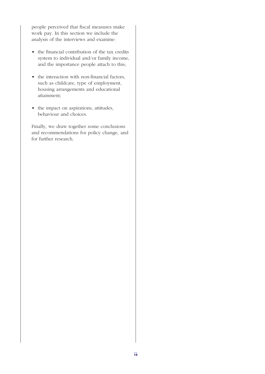people perceived that fiscal measures make work pay. In this section we include the analysis of the interviews and examine:

- the financial contribution of the tax credits system to individual and/or family income, and the importance people attach to this;
- the interaction with non-financial factors, such as childcare, type of employment, housing arrangements and educational attainment;
- the impact on aspirations, attitudes, behaviour and choices.

Finally, we draw together some conclusions and recommendations for policy change, and for further research.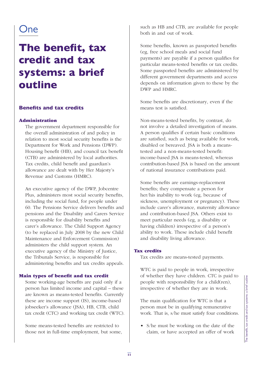## One

## **The benefit, tax credit and tax systems: a brief outline**

#### **Benefits and tax credits**

#### **Administration**

The government department responsible for the overall administration of and policy in relation to most social security benefits is the Department for Work and Pensions (DWP). Housing benefit (HB), and council tax benefit (CTB) are administered by local authorities. Tax credits, child benefit and guardian's allowance are dealt with by Her Majesty's Revenue and Customs (HMRC).

An executive agency of the DWP, Jobcentre Plus, administers most social security benefits, including the social fund, for people under 60. The Pensions Service delivers benefits and pensions and the Disability and Carers Service is responsible for disability benefits and carer's allowance. The Child Support Agency (to be replaced in July 2008 by the new Child Maintenance and Enforcement Commission) administers the child support system. An executive agency of the Ministry of Justice, the Tribunals Service, is responsible for administering benefits and tax credits appeals.

#### **Main types of benefit and tax credit**

Some working-age benefits are paid only if a person has limited income and capital – these are known as means-tested benefits. Currently these are income support (IS), income-based jobseeker's allowance (JSA), HB, CTB, child tax credit (CTC) and working tax credit (WTC).

Some means-tested benefits are restricted to those not in full-time employment, but some, such as HB and CTB, are available for people both in and out of work.

Some benefits, known as passported benefits (eg, free school meals and social fund payments) are payable if a person qualifies for particular means-tested benefits or tax credits. Some passported benefits are administered by different government departments and access depends on information given to these by the DWP and HMRC.

Some benefits are discretionary, even if the means test is satisfied.

Non-means-tested benefits, by contrast, do not involve a detailed investigation of means. A person qualifies if certain basic conditions are satisfied, such as being available for work, disabled or bereaved. JSA is both a meanstested and a non-means-tested benefit: income-based JSA is means-tested, whereas contribution-based JSA is based on the amount of national insurance contributions paid.

Some benefits are earnings-replacement benefits; they compensate a person for her/his inability to work (eg, because of sickness, unemployment or pregnancy). These include carer's allowance, maternity allowance and contribution-based JSA. Others exist to meet particular needs (eg, a disability or having children) irrespective of a person's ability to work. These include child benefit and disability living allowance.

#### **Tax credits**

Tax credits are means-tested payments.

WTC is paid to people in work, irrespective of whether they have children. CTC is paid to people with responsibility for a child(ren), irrespective of whether they are in work.

The main qualification for WTC is that a person must be in qualifying remunerative work. That is, s/he must satisfy four conditions.

• S/he must be working on the date of the claim, or have accepted an offer of work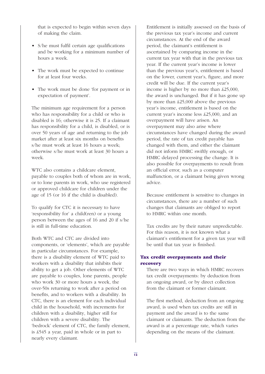that is expected to begin within seven days of making the claim.

- S/he must fulfil certain age qualifications and be working for a minimum number of hours a week.
- The work must be expected to continue for at least four weeks.
- The work must be done 'for payment or in expectation of payment'.

The minimum age requirement for a person who has responsibility for a child or who is disabled is 16; otherwise it is 25. If a claimant has responsibility for a child, is disabled, or is over 50 years of age and returning to the job market after at least six months on benefits s/he must work at least 16 hours a week; otherwise s/he must work at least 30 hours a week.

WTC also contains a childcare element. payable to couples both of whom are in work, or to lone parents in work, who use registered or approved childcare for children under the age of 15 (or 16 if the child is disabled).

To qualify for CTC it is necessary to have 'responsibility for' a child(ren) or a young person between the ages of 16 and 20 if s/he is still in full-time education.

Both WTC and CTC are divided into components, or 'elements', which are payable in particular circumstances. For example, there is a disability element of WTC paid to workers with a disability that inhibits their ability to get a job. Other elements of WTC are payable to couples, lone parents, people who work 30 or more hours a week, the over-50s returning to work after a period on benefits, and to workers with a disability. In CTC, there is an element for each individual child in the household, with increments for children with a disability, higher still for children with a severe disability. The 'bedrock' element of CTC, the family element, is £545 a year, paid in whole or in part to nearly every claimant.

Entitlement is initially assessed on the basis of the previous tax year's income and current circumstances. At the end of the award period, the claimant's entitlement is ascertained by comparing income in the current tax year with that in the previous tax year. If the current year's income is lower than the previous year's, entitlement is based on the lower, current year's, figure, and more credit will be due. If the current year's income is higher by no more than £25,000, the award is unchanged. But if it has gone up by more than £25,000 above the previous year's income, entitlement is based on the current year's income less £25,000, and an overpayment will have arisen. An overpayment may also arise where circumstances have changed during the award period, the rate of tax credit payable has changed with them, and either the claimant did not inform HMRC swiftly enough, or HMRC delayed processing the change. It is also possible for overpayments to result from an official error, such as a computer malfunction, or a claimant being given wrong advice.

Because entitlement is sensitive to changes in circumstances, there are a number of such changes that claimants are obliged to report to HMRC within one month.

Tax credits are by their nature unpredictable. For this reason, it is not known what a claimant's entitlement for a given tax year will be until that tax year is finished.

#### **Tax credit overpayments and their recovery**

There are two ways in which HMRC recovers tax credit overpayments: by deduction from an ongoing award, or by direct collection from the claimant or former claimant.

The first method, deduction from an ongoing award, is used when tax credits are still in payment and the award is to the same claimant or claimants. The deduction from the award is at a percentage rate, which varies depending on the means of the claimant.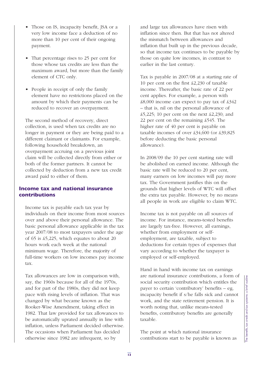- Those on IS, incapacity benefit, JSA or a very low income face a deduction of no more than 10 per cent of their ongoing payment.
- That percentage rises to 25 per cent for those whose tax credits are less than the maximum award, but more than the family element of CTC only.
- People in receipt of only the family element have no restrictions placed on the amount by which their payments can be reduced to recover an overpayment.

The second method of recovery, direct collection, is used when tax credits are no longer in payment or they are being paid to a different claimant or claimants. For example, following household breakdown, an overpayment accruing on a previous joint claim will be collected directly from either or both of the former partners. It cannot be collected by deduction from a new tax credit award paid to either of them.

#### **Income tax and national insurance contributions**

Income tax is payable each tax year by individuals on their income from most sources over and above their personal allowance. The basic personal allowance applicable in the tax year 2007/08 to most taxpayers under the age of 65 is £5,225, which equates to about 20 hours work each week at the national minimum wage. Therefore, the majority of full-time workers on low incomes pay income tax.

Tax allowances are low in comparison with, say, the 1960s because for all of the 1970s, and for part of the 1980s, they did not keep pace with rising levels of inflation. That was changed by what became known as the Rooker-Wise Amendment, taking effect in 1982. That law provided for tax allowances to be automatically uprated annually in line with inflation, unless Parliament decided otherwise. The occasions when Parliament has decided otherwise since 1982 are infrequent, so by

and large tax allowances have risen with inflation since then. But that has not altered the mismatch between allowances and inflation that built up in the previous decade, so that income tax continues to be payable by those on quite low incomes, in contrast to earlier in the last century.

Tax is payable in 2007/08 at a starting rate of 10 per cent on the first £2,230 of taxable income. Thereafter, the basic rate of 22 per cent applies. For example, a person with £8,000 income can expect to pay tax of £342 – that is, nil on the personal allowance of £5,225; 10 per cent on the next £2,230; and 22 per cent on the remaining £545. The higher rate of 40 per cent is payable on taxable incomes of over £34,600 (or £39,825 before deducting the basic personal allowance).

In 2008/09 the 10 per cent starting rate will be abolished on earned income. Although the basic rate will be reduced to 20 per cent, many earners on low incomes will pay more tax. The Government justifies this on the grounds that higher levels of WTC will offset the extra tax payable. However, by no means all people in work are eligible to claim WTC.

Income tax is not payable on all sources of income. For instance, means-tested benefits are largely tax-free. However, all earnings, whether from employment or selfemployment, are taxable, subject to deductions for certain types of expenses that vary according to whether the taxpayer is employed or self-employed.

Hand in hand with income tax on earnings are national insurance contributions, a form of social security contribution which entitles the payer to certain 'contributory' benefits – eg, incapacity benefit if s/he falls sick and cannot work, and the state retirement pension. It is worth noting that, unlike means-tested benefits, contributory benefits are generally taxable. are national insurance contributions, a form of<br>social security contributory' benefits – eg,<br>incapacity benefit if s/he falls sick and cannot<br>work, and the state retirement pension. It is<br>worth noting that, unlike means-t

The point at which national insurance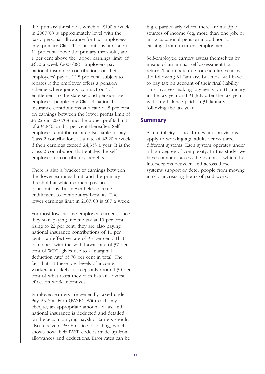the 'primary threshold', which at £100 a week in 2007/08 is approximately level with the basic personal allowance for tax. Employees pay 'primary Class 1' contributions at a rate of 11 per cent above the primary threshold, and 1 per cent above the 'upper earnings limit' of £670 a week (2007/08). Employers pay national insurance contributions on their employees' pay at 12.8 per cent, subject to rebates if the employer offers a pension scheme where joiners 'contract out' of entitlement to the state second pension. Selfemployed people pay Class 4 national insurance contributions at a rate of 8 per cent on earnings between the lower profits limit of £5,225 in 2007/08 and the upper profits limit of £34,840, and 1 per cent thereafter. Selfemployed contributors are also liable to pay Class 2 contributions at a rate of £2.20 a week if their earnings exceed £4,635 a year. It is the Class 2 contribution that entitles the selfemployed to contributory benefits.

There is also a bracket of earnings between the 'lower earnings limit' and the primary threshold at which earners pay no contributions, but nevertheless accrue entitlement to contributory benefits. The lower earnings limit in 2007/08 is £87 a week.

For most low-income employed earners, once they start paying income tax at 10 per cent rising to 22 per cent, they are also paying national insurance contributions of 11 per cent – an effective rate of 33 per cent. That, combined with the withdrawal rate of 37 per cent of WTC, gives rise to a 'marginal deduction rate' of 70 per cent in total. The fact that, at these low levels of income, workers are likely to keep only around 30 per cent of what extra they earn has an adverse effect on work incentives.

Employed earners are generally taxed under Pay As You Earn (PAYE). With each pay cheque, an appropriate amount of tax and national insurance is deducted and detailed on the accompanying payslip. Earners should also receive a PAYE notice of coding, which shows how their PAYE code is made up from allowances and deductions. Error rates can be high, particularly where there are multiple sources of income (eg, more than one job, or an occupational pension in addition to earnings from a current employment).

Self-employed earners assess themselves by means of an annual self-assessment tax return. Their tax is due for each tax year by the following 31 January, but most will have to pay tax on account of their final liability. This involves making payments on 31 January in the tax year and 31 July after the tax year, with any balance paid on 31 January following the tax year.

#### **Summary**

A multiplicity of fiscal rules and provisions apply to working-age adults across three different systems. Each system operates under a high degree of complexity. In this study, we have sought to assess the extent to which the intersections between and across these systems support or deter people from moving into or increasing hours of paid work.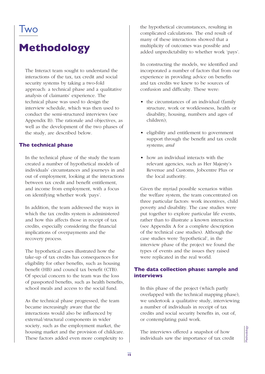## **I** wo

## **Methodology**

The Interact team sought to understand the interactions of the tax, tax credit and social security systems by taking a two-fold approach: a technical phase and a qualitative analysis of claimants' experience. The technical phase was used to design the interview schedule, which was then used to conduct the semi-structured interviews (see Appendix B). The rationale and objectives, as well as the development of the two phases of the study, are described below.

#### **The technical phase**

In the technical phase of the study the team created a number of hypothetical models of individuals' circumstances and journeys in and out of employment, looking at the interactions between tax credit and benefit entitlement, and income from employment, with a focus on identifying whether work 'pays'.

In addition, the team addressed the ways in which the tax credits system is administered and how this affects those in receipt of tax credits, especially considering the financial implications of overpayments and the recovery process.

The hypothetical cases illustrated how the take-up of tax credits has consequences for eligibility for other benefits, such as housing benefit (HB) and council tax benefit (CTB). Of special concern to the team was the loss of passported benefits, such as health benefits, school meals and access to the social fund.

As the technical phase progressed, the team became increasingly aware that the interactions would also be influenced by external/structural components in wider society, such as the employment market, the housing market and the provision of childcare. These factors added even more complexity to

the hypothetical circumstances, resulting in complicated calculations. The end result of many of these interactions showed that a multiplicity of outcomes was possible and added unpredictability to whether work 'pays'.

In constructing the models, we identified and incorporated a number of factors that from our experience in providing advice on benefits and tax credits we knew to be sources of confusion and difficulty. These were:

- the circumstances of an individual (family structure, work or worklessness, health or disability, housing, numbers and ages of children);
- eligibility and entitlement to government support through the benefit and tax credit systems; *and*
- how an individual interacts with the relevant agencies, such as Her Majesty's Revenue and Customs, Jobcentre Plus or the local authority.

Given the myriad possible scenarios within the welfare system, the team concentrated on three particular factors: work incentives, child poverty and disability. The case studies were put together to explore particular life events, rather than to illustrate a known interaction (see Appendix A for a complete description of the technical case studies). Although the case studies were 'hypothetical', in the interview phase of the project we found the types of events and the issues they raised were replicated in the real world.

#### **The data collection phase: sample and interviews**

In this phase of the project (which partly overlapped with the technical mapping phase), we undertook a qualitative study, interviewing a number of individuals in receipt of tax credits and social security benefits in, out of, or contemplating paid work.

The interviews offered a snapshot of how The interviews offered a snapshot of how individuals saw the importance of tax credit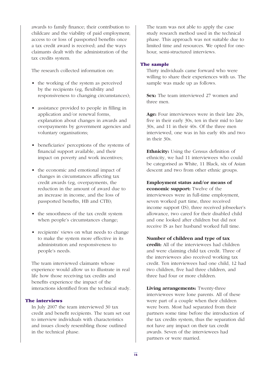awards to family finance; their contribution to childcare and the viability of paid employment; access to or loss of passported benefits once a tax credit award is received; and the ways claimants dealt with the administration of the tax credits system.

The research collected information on:

- the working of the system as perceived by the recipients (eg, flexibility and responsiveness to changing circumstances);
- assistance provided to people in filling in application and/or renewal forms, explanation about changes in awards and overpayments by government agencies and voluntary organisations;
- beneficiaries' perceptions of the systems of financial support available, and their impact on poverty and work incentives;
- the economic and emotional impact of changes in circumstances affecting tax credit awards (eg, overpayments, the reduction in the amount of award due to an increase in income, and the loss of passported benefits, HB and CTB);
- the smoothness of the tax credit system when people's circumstances change;
- recipients' views on what needs to change to make the system more effective in its administration and responsiveness to people's needs.

The team interviewed claimants whose experience would allow us to illustrate in real life how those receiving tax credits and benefits experience the impact of the interactions identified from the technical study.

#### **The interviews**

In July 2007 the team interviewed 30 tax credit and benefit recipients. The team set out to interview individuals with characteristics and issues closely resembling those outlined in the technical phase.

The team was not able to apply the case study research method used in the technical phase. This approach was not suitable due to limited time and resources. We opted for onehour, semi-structured interviews.

#### **The sample**

Thirty individuals came forward who were willing to share their experiences with us. The sample was made up as follows.

**Sex:** The team interviewed 27 women and three men.

**Age:** Four interviewees were in their late 20s, five in their early 30s, ten in their mid to late 30s, and 11 in their 40s. Of the three men interviewed, one was in his early 40s and two in their 30s.

**Ethnicity:** Using the Census definition of ethnicity, we had 11 interviewees who could be categorised as White, 11 Black, six of Asian descent and two from other ethnic groups.

**Employment status and/or means of economic support:** Twelve of the interviewees were in full-time employment, seven worked part time, three received income support (IS), three received jobseeker's allowance, two cared for their disabled child and one looked after children but did not receive IS as her husband worked full time.

**Number of children and type of tax credit:** All of the interviewees had children and were claiming child tax credit. Three of the interviewees also received working tax credit. Ten interviewees had one child, 12 had two children, five had three children, and three had four or more children.

**Living arrangements:** Twenty-three interviewees were lone parents. All of these were part of a couple when their children were born. Most had separated from their partners some time before the introduction of the tax credits system, thus the separation did not have any impact on their tax credit awards. Seven of the interviewees had partners or were married.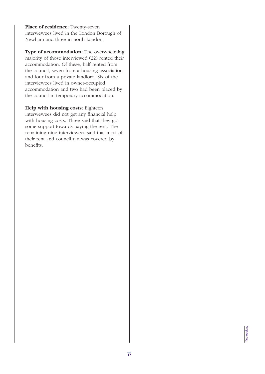**Place of residence:** Twenty-seven interviewees lived in the London Borough of Newham and three in north London.

**Type of accommodation:** The overwhelming majority of those interviewed (22) rented their accommodation. Of these, half rented from the council, seven from a housing association and four from a private landlord. Six of the interviewees lived in owner-occupied accommodation and two had been placed by the council in temporary accommodation.

#### **Help with housing costs:** Eighteen

interviewees did not get any financial help with housing costs. Three said that they got some support towards paying the rent. The remaining nine interviewees said that most of their rent and council tax was covered by benefits.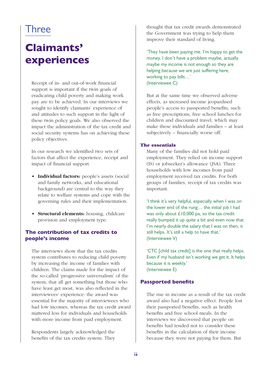## Three

## **Claimants' experiences**

Receipt of in- and out-of-work financial support is important if the twin goals of eradicating child poverty and making work pay are to be achieved. In our interviews we sought to identify claimants' experience of and attitudes to such support in the light of these twin policy goals. We also observed the impact the administration of the tax credit and social security systems has on achieving these policy objectives.

In our research we identified two sets of factors that affect the experience, receipt and impact of financial support.

- **Individual factors:** people's assets (social and family networks, and educational background) are central to the way they relate to welfare systems and cope with the governing rules and their implementation.
- **Structural elements:** housing, childcare provision and employment type.

#### **The contribution of tax credits to people's income**

The interviews show that the tax credits system contributes to reducing child poverty by increasing the income of families with children. The claims made for the impact of the so-called 'progressive universalism' of the system, that all get something but those who have least get most, was also reflected in the interviewees' experience: the award was essential for the majority of interviewees who had low incomes, whereas the tax credit award mattered less for individuals and households with more income from paid employment.

Respondents largely acknowledged the benefits of the tax credits system. They thought that tax credit awards demonstrated the Government was trying to help them improve their standard of living.

'They have been paying me. I'm happy to get the money. I don't have a problem maybe, actually maybe my income is not enough so they are helping because we are just suffering here, working to pay bills…' (Interviewee C)

But at the same time we observed adverse effects, as increased income jeopardised people's access to passported benefits, such as free prescriptions, free school lunches for children and discounted travel, which may make these individuals and families – at least subjectively – financially worse off.

#### **The essentials**

Many of the families did not hold paid employment. They relied on income support (IS) or jobseeker's allowance (JSA). Three households with low incomes from paid employment received tax credits. For both groups of families, receipt of tax credits was important.

'I think it's very helpful, especially when I was on the lower end of the rung… the initial job I had was only about £10,000 pa, so the tax credit really bumped it up quite a bit and even now that I'm nearly double the salary that I was on then, it still helps. It's still a help to have that.' (Interviewee V)

'CTC [child tax credit] is the one that really helps. Even if my husband isn't working we get it. It helps because it is weekly.' (Interviewee E)

#### **Passported benefits**

The rise in income as a result of the tax credit award also had a negative effect. People lost their passported benefits, such as health benefits and free school meals. In the interviews we discovered that people on benefits had tended not to consider these benefits in the calculation of their income because they were not paying for them. But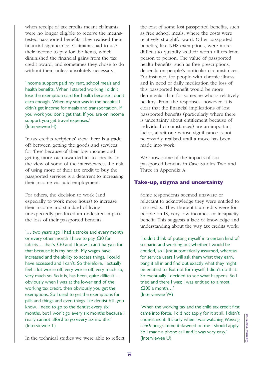when receipt of tax credits meant claimants were no longer eligible to receive the meanstested passported benefits, they realised their financial significance. Claimants had to use their income to pay for the items, which diminished the financial gains from the tax credit award, and sometimes they chose to do without them unless absolutely necessary.

'Income support paid my rent, school meals and health benefits. When I started working I didn't lose the exemption card for health because I don't earn enough. When my son was in the hospital I didn't get income for meals and transportation. If you work you don't get that. If you are on income support you get travel expenses.' (Interviewee H)

In tax credits recipients' view there is a trade off between getting the goods and services for 'free' because of their low income and getting more cash awarded in tax credits. In the view of some of the interviewees, the risk of using more of their tax credit to buy the passported services is a deterrent to increasing their income via paid employment.

For others, the decision to work (and especially to work more hours) to increase their income and standard of living unexpectedly produced an undesired impact: the loss of their passported benefits.

'… two years ago I had a stroke and every month or every other month I have to pay £30 for tablets… that's £30 and I know I can't bargain for that because it is my health. My wages have increased and the ability to access things, I could have accessed and I can't. So therefore, I actually feel a lot worse off, very worse off, very much so, very much so. So it is, has been, quite difficult … obviously when I was at the lower end of the working tax credit, then obviously you get the exemptions. So I used to get the exemptions for pills and things and even things like dentist bill, you know. I need to go to the dentist every six months, but I won't go every six months because I really cannot afford to go every six months.' (Interviewee T)

In the technical studies we were able to reflect

the cost of some lost passported benefits, such as free school meals, where the costs were relatively straightforward. Other passported benefits, like NHS exemptions, were more difficult to quantify as their worth differs from person to person. The value of passported health benefits, such as free prescriptions, depends on people's particular circumstances. For instance, for people with chronic illness and in need of daily medication the loss of this passported benefit would be more detrimental than for someone who is relatively healthy. From the responses, however, it is clear that the financial implications of lost passported benefits (particularly where there is uncertainty about entitlement because of individual circumstances) are an important factor, albeit one whose significance is not necessarily realised until a move has been made into work.

We show some of the impacts of lost passported benefits in Case Studies Two and Three in Appendix A.

#### **Take-up, stigma and uncertainty**

Some respondents seemed unaware or reluctant to acknowledge they were entitled to tax credits. They thought tax credits were for people on IS, very low incomes, or incapacity benefit. This suggests a lack of knowledge and understanding about the way tax credits work.

'I didn't think of putting myself in a certain kind of scenario and working out whether I would be entitled, so I just automatically assumed, whereas for service users I will ask them what they earn, bang it all in and find out exactly what they might be entitled to. But not for myself, I didn't do that. So eventually I decided to see what happens. So I tried and there I was; I was entitled to almost £200 a month…' (Interviewee W)

'When the working tax and the child tax credit first came into force, I did not apply for it at all. I didn't understand it. It's only when I was watching *Working*<br>
Lunch programme it dawned on me I should apply.<br>
So I made a phone call and it was very easy.'<br>
(Interviewee U) *Lunch* programme it dawned on me I should apply. So I made a phone call and it was very easy.'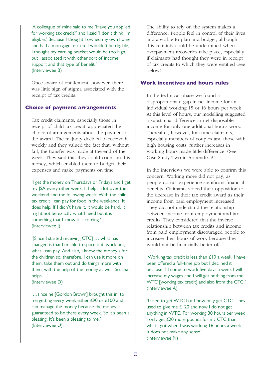'A colleague of mine said to me 'Have you applied for working tax credit?' and I said 'I don't think I'm eligible.' Because I thought I owned my own home and had a mortgage, etc etc I wouldn't be eligible, I thought my earning bracket would be too high, but I associated it with other sort of income support and that type of benefit.' (Interviewee B)

Once aware of entitlement, however, there was little sign of stigma associated with the receipt of tax credits.

#### **Choice of payment arrangements**

Tax credit claimants, especially those in receipt of child tax credit, appreciated the choice of arrangements about the payment of the award. The majority decided to receive it weekly and they valued the fact that, without fail, the transfer was made at the end of the week. They said that they could count on this money, which enabled them to budget their expenses and make payments on time.

'I get the money on Thursdays or Fridays and I get my JSA every other week. It helps a lot over the weekend and the following week. With the child tax credit I can pay for food in the weekends. It does help. If I didn't have it, it would be hard. It might not be exactly what I need but it is something that I know it is coming.' (Interviewee J)

'[Since I started receiving CTC] … what has changed is that I'm able to space out, work out, what I can pay. And also, I know the money's for the children so, therefore, I can use it more on them, take them out and do things more with them, with the help of the money as well. So, that helps…'

(Interviewee D)

'…since he [Gordon Brown] brought this in, to me getting every week either £90 or £100 and I can manage the money because the money is guaranteed to be there every week. So it's been a blessing. It's been a blessing to me.' (Interviewee U)

The ability to rely on the system makes a difference. People feel in control of their lives and are able to plan and budget, although this certainty could be undermined when overpayment recoveries take place, especially if claimants had thought they were in receipt of tax credits to which they were entitled (see below).

#### **Work incentives and hours rules**

In the technical phase we found a disproportionate gap in net income for an individual working 15 or 16 hours per week. At this level of hours, our modelling suggested a substantial difference in net disposable income for only one additional hour's work. Thereafter, however, for some claimants, especially members of couples and those with high housing costs, further increases in working hours made little difference. (See Case Study Two in Appendix A).

In the interviews we were able to confirm this concern. Working more did not pay, as people do not experience significant financial benefits. Claimants voiced their opposition to the decrease in their tax credit award as their income from paid employment increased. They did not understand the relationship between income from employment and tax credits. They considered that the inverse relationship between tax credits and income from paid employment discouraged people to increase their hours of work because they would not be financially better off.

'Working tax credit is less than £10 a week. I have been offered a full-time job but I declined it because if I come to work five days a week I will increase my wages and I will get nothing from the WTC [working tax credit] and also from the CTC.' (Interviewee A)

'I used to get WTC but I now only get CTC. They used to give me £120 and now I do not get anything in WTC. For working 30 hours per week I only get £20 more pounds for my CTC than what I got when I was working 16 hours a week. It does not make any sense.' (Interviewee N)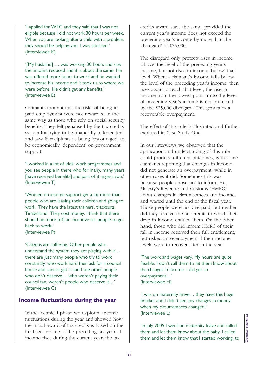'I applied for WTC and they said that I was not eligible because I did not work 30 hours per week. When you are looking after a child with a problem, they should be helping you. I was shocked.' (Interviewee K)

'[My husband] … was working 30 hours and saw the amount reduced and it is about the same. He was offered more hours to work and he wanted to increase his income and it took us to where we were before. He didn't get any benefits.' (Interviewee E)

Claimants thought that the risks of being in paid employment were not rewarded in the same way as those who rely on social security benefits. They felt penalised by the tax credits system for trying to be financially independent and saw IS recipients as being 'encouraged' to be economically 'dependent' on government support.

'I worked in a lot of kids' work programmes and you see people in there who for many, many years [have received benefits] and part of it angers you.' (Interviewee T)

'Women on income support get a lot more than people who are leaving their children and going to work. They have the latest trainers, tracksuits, Timberland. They cost money. I think that there should be more [of] an incentive for people to go back to work.' (Interviewee P)

'Citizens are suffering. Other people who understand the system they are playing with it… there are just many people who try to work constantly, who work hard then ask for a council house and cannot get it and I see other people who don't deserve… who weren't paying their council tax, weren't people who deserve it…' (Interviewee C)

#### **Income fluctuations during the year**

In the technical phase we explored income fluctuations during the year and showed how the initial award of tax credits is based on the finalised income of the preceding tax year. If income rises during the current year, the tax

credits award stays the same, provided the current year's income does not exceed the preceding year's income by more than the 'disregard' of £25,000.

The disregard only protects rises in income 'above' the level of the preceding year's income, but not rises in income 'below' that level. When a claimant's income falls below the level of the preceding year's income, then rises again to reach that level, the rise in income from the lowest point up to the level of preceding year's income is not protected by the £25,000 disregard. This generates a recoverable overpayment.

The effect of this rule is illustrated and further explored in Case Study One.

In our interviews we observed that the application and understanding of this rule could produce different outcomes, with some claimants reporting that changes in income did not generate an overpayment, while in other cases it did. Sometimes this was because people chose not to inform Her Majesty's Revenue and Customs (HMRC) about changes in circumstances and income, and waited until the end of the fiscal year. Those people were not overpaid, but neither did they receive the tax credits to which their drop in income entitled them. On the other hand, those who did inform HMRC of their fall in income received their full entitlement. but risked an overpayment if their income levels were to recover later in the year.

'The work and wages vary. My hours are quite flexible. I don't call them to let them know about the changes in income. I did get an overpayment…' (Interviewee H)

'I was on maternity leave… they have this huge bracket and I didn't see any changes in money when my circumstances changed.' (Interviewee L)

'In July 2005 I went on maternity leave and called them and let them know about the baby. I called (incerviewed L)<br>  $\begin{bmatrix}\n\text{the number of interest is a function of the number of interest.}\n\text{the number of interest is a function of the number of interest.}\n\text{the number of interest is a function of the number of interest.}\n\text{the number of interest is a function of the number of interest.}\n\text{the number of interest is a function of the number of interest.}\n\text{The number of interest is a function of the number of interest.}\n\text{The number of interest is a function of the number of interest.}\n\text{The number of interest is a function of the number of interest.}\n\text{The number of interest is a function of the number of interest.}\n\text{The number of interest is a function of the number of interest.}\n\text{The number of interest is a function of the number of interest.$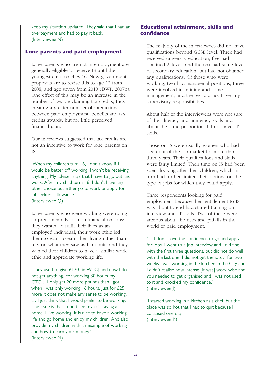keep my situation updated. They said that I had an overpayment and had to pay it back.' (Interviewee N)

#### **Lone parents and paid employment**

Lone parents who are not in employment are generally eligible to receive IS until their youngest child reaches 16. New government proposals are to revise this to age 12 from 2008, and age seven from 2010 (DWP, 2007b). One effect of this may be an increase in the number of people claiming tax credits, thus creating a greater number of interactions between paid employment, benefits and tax credits awards, but for little perceived financial gain.

Our interviews suggested that tax credits are not an incentive to work for lone parents on IS.

'When my children turn 16, I don't know if I would be better off working. I won't be receiving anything. My adviser says that I have to go out and work. After my child turns 16, I don't have any other choice but either go to work or apply for jobseeker's allowance.' (Interviewee Q)

Lone parents who were working were doing so predominantly for non-financial reasons: they wanted to fulfil their lives as an employed individual; their work ethic led them to want to earn their living rather than rely on what they saw as handouts; and they wanted their children to have a similar work ethic and appreciate working life.

'They used to give £120 [in WTC] and now I do not get anything. For working 30 hours my CTC… I only get 20 more pounds than I got when I was only working 16 hours. Just for £25 more it does not make any sense to be working. … I just think that I would prefer to be working. The issue is that I don't see myself staying at home. I like working. It is nice to have a working life and go home and enjoy my children. And also provide my children with an example of working and how to earn your money.' (Interviewee N)

#### **Educational attainment, skills and confidence**

The majority of the interviewees did not have qualifications beyond GCSE level. Three had received university education, five had obtained A levels and the rest had some level of secondary education, but had not obtained any qualifications. Of those who were working, two had managerial positions, three were involved in training and some management, and the rest did not have any supervisory responsibilities.

About half of the interviewees were not sure of their literacy and numeracy skills and about the same proportion did not have IT skills.

Those on IS were usually women who had been out of the job market for more than three years. Their qualifications and skills were fairly limited. Their time on IS had been spent looking after their children, which in turn had further limited their options on the type of jobs for which they could apply.

Three respondents looking for paid employment because their entitlement to IS was about to end had started training on interview and IT skills. Two of these were anxious about the risks and pitfalls in the world of paid employment.

'… I don't have the confidence to go and apply for jobs. I went to a job interview and I did fine with the first three questions, but did not do well with the last one. I did not get the job… for two weeks I was working in the kitchen in the City and I didn't realise how intense [it was] work-wise and you needed to get organised and I was not used to it and knocked my confidence.' (Interviewee J)

'I started working in a kitchen as a chef, but the place was so hot that I had to quit because I collapsed one day.' (Interviewee K)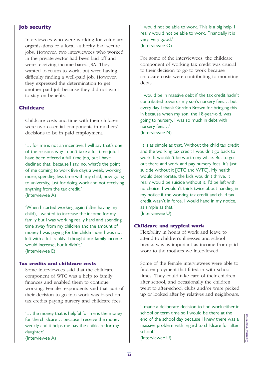#### **Job security**

Interviewees who were working for voluntary organisations or a local authority had secure jobs. However, two interviewees who worked in the private sector had been laid off and were receiving income-based JSA. They wanted to return to work, but were having difficulty finding a well-paid job. However, they expressed the determination to get another paid job because they did not want to stay on benefits.

#### **Childcare**

Childcare costs and time with their children were two essential components in mothers' decisions to be in paid employment.

'… for me is not an incentive. I will say that's one of the reasons why I don't take a full-time job. I have been offered a full-time job, but I have declined that, because I say, no, what's the point of me coming to work five days a week, working more, spending less time with my child, now going to university, just for doing work and not receiving anything from the tax credit.'

(Interviewee A)

'When I started working again (after having my child), I wanted to increase the income for my family but I was working really hard and spending time away from my children and the amount of money I was paying for the childminder I was not left with a lot frankly. I thought our family income would increase, but it didn't.' (Interviewee E)

#### **Tax credits and childcare costs**

Some interviewees said that the childcare component of WTC was a help to family finances and enabled them to continue working. Female respondents said that part of their decision to go into work was based on tax credits paying nursery and childcare fees.

'… the money that is helpful for me is the money for the childcare… because I receive the money weekly and it helps me pay the childcare for my daughter.'

(Interviewee A)

'I would not be able to work. This is a big help. I really would not be able to work. Financially it is very, very good.' (Interviewee O)

For some of the interviewees, the childcare component of working tax credit was crucial to their decision to go to work because childcare costs were contributing to mounting debts.

'I would be in massive debt if the tax credit hadn't contributed towards my son's nursery fees… but every day I thank Gordon Brown for bringing this in because when my son, the 18-year-old, was going to nursery, I was so much in debt with nursery fees…' (Interviewee N)

'It is as simple as that. Without the child tax credit and the working tax credit I wouldn't go back to work. It wouldn't be worth my while. But to go out there and work and pay nursery fees, it's just suicide without it [CTC and WTC]. My health would deteriorate, the kids wouldn't thrive. It really would be suicide without it. I'd be left with no choice. I wouldn't think twice about handing in my notice if the working tax credit and child tax credit wasn't in force. I would hand in my notice, as simple as that.' (Interviewee U)

#### **Childcare and atypical work**

Flexibility in hours of work and leave to attend to children's illnesses and school breaks was as important as income from paid work to the mothers we interviewed.

Some of the female interviewees were able to find employment that fitted in with school times. They could take care of their children after school, and occasionally the children went to after-school clubs and/or were picked up or looked after by relatives and neighbours.

'I made a deliberate decision to find work either in school or term time so I would be there at the end of the school day because I knew there was a massive problem with regard to childcare for after school.' Sensor of term time so I would be there at the<br>end of the school day because I knew there was a<br>massive problem with regard to childcare for after<br>school.'<br>(Interviewee U)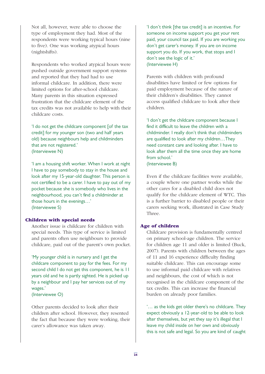Not all, however, were able to choose the type of employment they had. Most of the respondents were working typical hours (nine to five). One was working atypical hours (nightshifts).

Respondents who worked atypical hours were pushed outside government support systems and reported that they had had to use informal childcare. In addition, there were limited options for after-school childcare. Many parents in this situation expressed frustration that the childcare element of the tax credits was not available to help with their childcare costs.

'I do not get the childcare component [of the tax credit] for my younger son (two and half years old) because neighbours help and childminders that are not registered.' (Interviewee N)

'I am a housing shift worker. When I work at night I have to pay somebody to stay in the house and look after my 15-year-old daughter. This person is not certified to be a carer. I have to pay out of my pocket because she is somebody who lives in the neighbourhood, you can't find a childminder at those hours in the evenings…' (Interviewee S)

#### **Children with special needs**

Another issue is childcare for children with special needs. This type of service is limited and parents often use neighbours to provide childcare, paid out of the parent's own pocket.

'My younger child is in nursery and I get the childcare component to pay for the fees. For my second child I do not get this component, he is 11 years old and he is partly sighted. He is picked up by a neighbour and I pay her services out of my wages.'

(Interviewee O)

Other parents decided to look after their children after school. However, they resented the fact that because they were working, their carer's allowance was taken away.

'I don't think [the tax credit] is an incentive. For someone on income support you get your rent paid, your council tax paid. If you are working you don't get carer's money. If you are on income support you do. If you work, that stops and I don't see the logic of it.' (Interviewee H)

Parents with children with profound disabilities have limited or few options for paid employment because of the nature of their children's disabilities. They cannot access qualified childcare to look after their children.

'I don't get the childcare component because I find it difficult to leave the children with a childminder. I really don't think that childminders are qualified to look after my children…They need constant care and looking after. I have to look after them all the time once they are home from school.' (Interviewee B)

Even if the childcare facilities were available, a couple where one partner works while the other cares for a disabled child does not qualify for the childcare element of WTC. This is a further barrier to disabled people or their carers seeking work, illustrated in Case Study Three.

#### **Age of children**

Childcare provision is fundamentally centred on primary school-age children. The service for children age 11 and older is limited (Buck, 2007). Parents with children between the ages of 11 and 16 experience difficulty finding suitable childcare. This can encourage some to use informal paid childcare with relatives and neighbours, the cost of which is not recognised in the childcare component of the tax credits. This can increase the financial burden on already poor families.

'… as the kids get older there's no childcare. They expect obviously a 12-year-old to be able to look after themselves, but yet they say it's illegal that I leave my child inside on her own and obviously this is not safe and legal. So you are kind of caught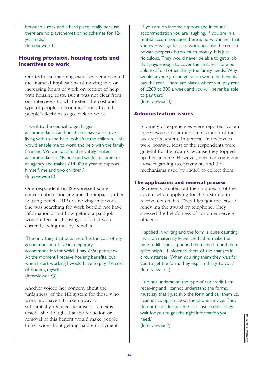between a rock and a hard place, really because there are no playschemes or no schemes for 12 year-olds.'

(Interviewee T)

#### **Housing provision, housing costs and incentives to work**

Our technical mapping exercises demonstrated the financial implications of moving into or increasing hours of work on receipt of help with housing costs. But it was not clear from our interviews to what extent the cost and type of people's accommodation affected people's decision to go back to work.

'I went to the council to get bigger accommodation and be able to have a relative living with us and help look after the children. This would enable me to work and help with the family finances. We cannot afford privately-rented accommodation. My husband works full time for an agency and makes £14,000 a year to support himself, me and two children.' (Interviewee E)

One respondent on IS expressed some concern about housing and the impact on her housing benefit (HB) of moving into work. She was searching for work but did not have information about how getting a paid job would affect her housing costs that were currently being met by benefits.

'The only thing that puts me off is the cost of my accommodation. I live in temporary accommodation for which I pay £350 per week. At the moment I receive housing benefits, but when I start working I would have to pay the cost of housing myself.' (Interviewee Q)

Another voiced her concern about the 'unfairness' of the HB system for those who work and have HB taken away or substantially reduced because it is means tested. She thought that the reduction or removal of this benefit would make people think twice about getting paid employment.

'If you are on income support and in council accommodation you are laughing. If you are in a rented accommodation there is no way in hell that you ever will go back to work because the rent in private property is too much money. It is just ridiculous. They would never be able to get a job that pays enough to cover the rent, let alone be able to afford other things the family needs. Why would anyone go and get a job when the benefits pay the rent. There are places where you pay rent of £200 to 300 a week and you will never be able to pay that.'

(Interviewee H)

#### **Administration issues**

A variety of experiences were reported by our interviewees about the administration of the tax credits system. In general, interviewees were positive. Most of the respondents were grateful for the awards because they topped up their income. However, negative comments arose regarding overpayments and the mechanisms used by HMRC to collect them.

#### **The application and renewal process**

Recipients pointed out the complexity of the system when applying for the first time to receive tax credits. They highlight the ease of renewing the award by telephone. They stressed the helpfulness of customer service officers.

'I applied in writing and the form is quite daunting. I was on maternity leave and had to make the time to fill it out. I phoned them and I found them quite helpful. I informed them of the changes in circumstances. When you ring them they wait for you to get the form, they explain things to you.' (Interviewee L)

'I do not understand the type of tax credit I am receiving and I cannot understand the forms. I must say that I just skip the form and call them up. I cannot complain about the phone service. They do not take a lot of time. It is just a relief. They wait for you to get the right information you need.'

(Interviewee P)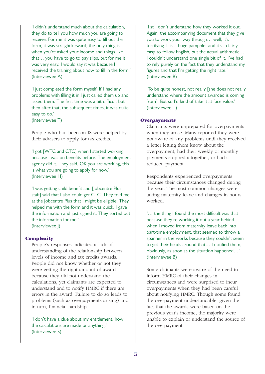'I didn't understand much about the calculation, they do to tell you how much you are going to receive. For me it was quite easy to fill out the form, it was straightforward, the only thing is when you're asked your income and things like that… you have to go to pay slips, but for me it was very easy. I would say it was because I received the training about how to fill in the form.' (Interviewee A)

'I just completed the form myself. If I had any problems with filling it in I just called them up and asked them. The first time was a bit difficult but then after that, the subsequent times, it was quite easy to do.'

(Interviewee T)

People who had been on IS were helped by their advisers to apply for tax credits.

'I got [WTC and CTC] when I started working because I was on benefits before. The employment agency did it. They said, OK you are working, this is what you are going to apply for now.' (Interviewee H)

'I was getting child benefit and [Jobcentre Plus staff] said that I also could get CTC. They told me at the Jobcentre Plus that I might be eligible. They helped me with the form and it was quick. I gave the information and just signed it. They sorted out the information for me.' (Interviewee J)

#### **Complexity**

People's responses indicated a lack of understanding of the relationship between levels of income and tax credits awards. People did not know whether or not they were getting the right amount of award because they did not understand the calculations, yet claimants are expected to understand and to notify HMRC if there are errors in the award. Failure to do so leads to problems (such as overpayments arising) and, in turn, financial hardship.

'I don't have a clue about my entitlement, how the calculations are made or anything.' (Interviewee S)

'I still don't understand how they worked it out. Again, the accompanying document that they give you to work your way through… well, it's terrifying. It is a huge pamphlet and it's in fairly easy-to-follow English, but the actual arithmetic… I couldn't understand one single bit of it. I've had to rely purely on the fact that they understand my figures and that I'm getting the right rate.' (Interviewee B)

'To be quite honest, not really [she does not really understand where the amount awarded is coming from]. But so I'd kind of take it at face value.' (Interviewee T)

#### **Overpayments**

Claimants were unprepared for overpayments when they arose. Many reported they were not aware of any problems until they received a letter letting them know about the overpayment, had their weekly or monthly payments stopped altogether, or had a reduced payment.

Respondents experienced overpayments because their circumstances changed during the year. The most common changes were taking maternity leave and changes in hours worked.

'… the thing I found the most difficult was that because they're working it out a year behind… when I moved from maternity leave back into part-time employment, that seemed to throw a spanner in the works because they couldn't seem to get their heads around that… I notified them, obviously, as soon as the situation happened…' (Interviewee B)

Some claimants were aware of the need to inform HMRC of their changes in circumstances and were surprised to incur overpayments when they had been careful about notifying HMRC. Though some found the overpayment understandable, given the fact that the awards were based on the previous year's income, the majority were unable to explain or understand the source of the overpayment.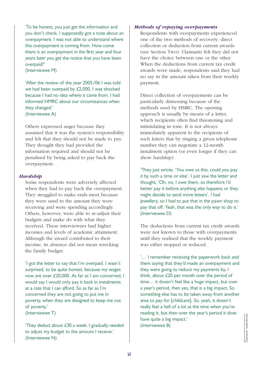'To be honest, you just get the information and you don't check. I supposedly got a note about an overpayment. I was not able to understand where this overpayment is coming from. How come there is an overpayment in the first year and four years later you get the notice that you have been overpaid?'

(Interviewee M)

'After the review of the year 2005/06 I was told we had been overpaid by £2,000. I was shocked because I had no idea where it came from. I had informed HMRC about our circumstances when they changed.' (Interviewee A)

Others expressed anger because they assumed that it was the system's responsibility and felt that they should not be made to pay. They thought they had provided the information required and should not be penalised by being asked to pay back the overpayment.

#### *Hardship*

Some respondents were adversely affected when they had to pay back the overpayment. They struggled to make ends meet because they were used to the amount they were receiving and were spending accordingly. Others, however, were able to re-adjust their budgets and make do with what they received. These interviewees had higher incomes and levels of academic attainment. Although the award contributed to their income, its absence did not mean wrecking the family budget.

'I got the letter to say that I'm overpaid. I wasn't surprised, to be quite honest, because my wages now are over £20,000. As far as I am concerned, I would say I would only pay it back in instalments at a rate that I can afford. So as far as I'm concerned they are not going to put me in poverty, when they are designed to keep me out of poverty.'

(Interviewee T)

'They deduct about £30 a week. I gradually needed to adjust my budget to the amount I receive.' (Interviewee N)

#### *Methods of repaying overpayments*

Respondents with overpayments experienced one of the two methods of recovery: direct collection or deduction from current awards (see Section Two). Claimants felt they did not have the choice between one or the other. When the deductions from current tax credit awards were made, respondents said they had no say in the amount taken from their weekly payment.

Direct collection of overpayments can be particularly distressing because of the methods used by HMRC. The opening approach is usually by means of a letter, which recipients often find threatening and intimidating in tone. It is not always immediately apparent to the recipients of such letters that by ringing a given telephone number they can negotiate a 12-month instalment option (or even longer if they can show hardship).

'They just wrote, 'You owe us this, could you pay it by such a time or else'. I just saw the letter and thought, 'Oh, no, I owe them, so therefore I'd better pay it before anything else happens or they might decide to send more letters'. I had jewellery, so I had to put that in the pawn shop to pay that off. Yeah, that was the only way to do it.' (Interviewee D)

The deductions from current tax credit awards were not known to those with overpayments until they realised that the weekly payment was either stopped or reduced.

'… I remember receiving the paperwork back and them saying that they'd made an overpayment and they were going to reduce my payments by, I think, about £20 per month over the period of time… it doesn't feel like a huge impact, but over a year's period, then yes, that is a big impact. So something else has to be taken away from another area to pay for [childcare]. So, yeah, it doesn't really feel a hell of a lot at the time when you're reading it, but then over the year's period it does have quite a big impact.' (Interviewee B)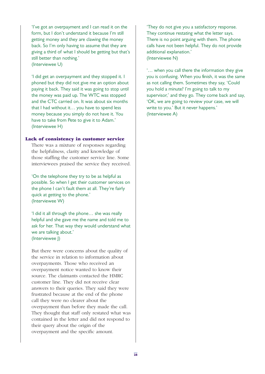'I've got an overpayment and I can read it on the form, but I don't understand it because I'm still getting money and they are clawing the money back. So I'm only having to assume that they are giving a third of what I should be getting but that's still better than nothing.' (Interviewee U)

'I did get an overpayment and they stopped it. I phoned but they did not give me an option about paying it back. They said it was going to stop until the money was paid up. The WTC was stopped and the CTC carried on. It was about six months that I had without it… you have to spend less money because you simply do not have it. You have to take from Pete to give it to Adam.' (Interviewee H)

#### **Lack of consistency in customer service**

There was a mixture of responses regarding the helpfulness, clarity and knowledge of those staffing the customer service line. Some interviewees praised the service they received.

'On the telephone they try to be as helpful as possible. So when I get their customer services on the phone I can't fault them at all. They're fairly quick at getting to the phone.' (Interviewee W)

'I did it all through the phone… she was really helpful and she gave me the name and told me to ask for her. That way they would understand what we are talking about.' (Interviewee J)

But there were concerns about the quality of the service in relation to information about overpayments. Those who received an overpayment notice wanted to know their source. The claimants contacted the HMRC customer line. They did not receive clear answers to their queries. They said they were frustrated because at the end of the phone call they were no clearer about the overpayment than before they made the call. They thought that staff only restated what was contained in the letter and did not respond to their query about the origin of the overpayment and the specific amount.

'They do not give you a satisfactory response. They continue restating what the letter says. There is no point arguing with them. The phone calls have not been helpful. They do not provide additional explanation.' (Interviewee N)

'… when you call there the information they give you is confusing. When you finish, it was the same as not calling them. Sometimes they say, 'Could you hold a minute? I'm going to talk to my supervisor,' and they go. They come back and say, 'OK, we are going to review your case, we will write to you.' But it never happens.' (Interviewee A)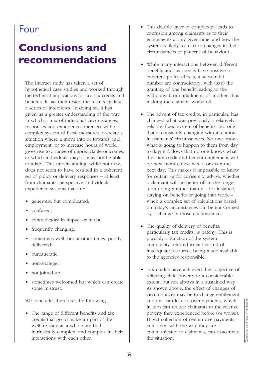## Four

## **Conclusions and recommendations**

The Interact study has taken a set of hypothetical case studies and worked through the technical implications for tax, tax credits and benefits. It has then tested the results against a series of interviews. In doing so, it has given us a greater understanding of the way in which a mix of individual circumstances, responses and experiences intersect with a complex system of fiscal measures to create a situation where a move into or towards paid employment, or to increase hours of work, gives rise to a range of unpredictable outcomes, to which individuals may or may not be able to adapt. This understanding, while not new, does not seem to have resulted in a coherent set of policy or delivery responses – at least from claimants' perspective. Individuals experience systems that are:

- generous, but complicated;
- confused;
- contradictory in impact or intent;
- frequently changing;
- sometimes well, but at other times, poorly delivered;
- bureaucratic;
- non-strategic;
- not joined-up;
- sometimes welcomed but which can create some mistrust.

We conclude, therefore, the following.

• The range of different benefits and tax credits that go to make up part of the welfare state as a whole are both intrinsically complex, and complex in their interactions with each other.

- This double layer of complexity leads to confusion among claimants as to their entitlements at any given time, and how the system is likely to react to changes in their circumstances or patterns of behaviour.
- While many interactions between different benefits and tax credits have positive or coherent policy effects, a substantial number are contradictory, with (say) the granting of one benefit leading to the withdrawal, or curtailment, of another, thus making the claimant worse off.
- The advent of tax credits, in particular, has changed what was previously a relatively reliable, fixed system of benefits into one that is constantly changing with alterations in claimants' circumstances. No one knows what is going to happen to them from day to day; it follows that no one knows what their tax credit and benefit entitlement will be next month, next week, or even the next day. This makes it impossible to know for certain, or for advisers to advise, whether a claimant will be better off in the longer term doing  $x$  rather than  $y$  – for instance, staying on benefits or going into work – when a complex set of calculations based on today's circumstances can be transformed by a change in those circumstances.
- The quality of delivery of benefits, particularly tax credits, is patchy. This is possibly a function of the system complexity referred to earlier and of inadequate resources being made available to the agencies responsible.
- Tax credits have achieved their objective of relieving child poverty to a considerable extent, but not always in a sustained way. As shown above, the effect of changes of circumstances may be to change entitlement and that can lead to overpayments, which in turn can reduce claimants to the relative poverty they experienced before (or worse). Direct collection of certain overpayments, combined with the way they are communicated to claimants, can exacerbate poverty they experienced before (or worse).<br>Direct collection of certain overpayments,<br>combined with the way they are<br>communicated to claimants, can exacerbate<br>the situation.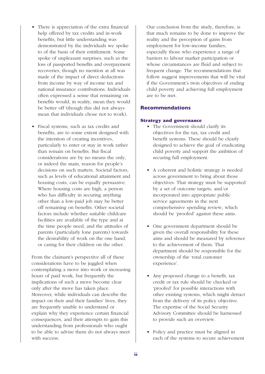- There is appreciation of the extra financial help offered by tax credits and in-work benefits, but little understanding was demonstrated by the individuals we spoke to of the basis of their entitlement. Some spoke of unpleasant surprises, such as the loss of passported benefits and overpayment recoveries, though no mention at all was made of the impact of direct deductions from income by way of income tax and national insurance contributions. Individuals often expressed a sense that remaining on benefits would, in reality, mean they would be better off (though this did not always mean that individuals chose not to work).
- Fiscal systems, such as tax credits and benefits, are to some extent designed with the intention of creating incentives, particularly to enter or stay in work rather than remain on benefits. But fiscal considerations are by no means the only, or indeed the main, reason for people's decisions on such matters. Societal factors, such as levels of educational attainment and housing costs, can be equally persuasive. Where housing costs are high, a person who has difficulty in securing anything other than a low-paid job may be better off remaining on benefits. Other societal factors include whether suitable childcare facilities are available of the type and at the time people need, and the attitudes of parents (particularly lone parents) towards the desirability of work on the one hand, or caring for their children on the other.

From the claimant's perspective all of these considerations have to be juggled when contemplating a move into work or increasing hours of paid work, but frequently the implications of such a move become clear only after the move has taken place. Moreover, while individuals can describe the impact on their and their families' lives, they are frequently unable to understand or explain why they experience certain financial consequences, and their attempts to gain this understanding from professionals who ought to be able to advise them do not always meet with success.

Our conclusion from the study, therefore, is that much remains to be done to improve the reality and the perception of gains from employment for low-income families, especially those who experience a range of barriers to labour market participation or whose circumstances are fluid and subject to frequent change. The recommendations that follow suggest improvements that will be vital if the Government's twin objectives of ending child poverty and achieving full employment are to be met.

#### **Recommendations**

#### **Strategy and governance**

- The Government should clarify its objectives for the tax, tax credit and benefit systems. These should be clearly designed to achieve the goal of eradicating child poverty and support the ambition of securing full employment.
- A coherent and holistic strategy is needed across government to bring about those objectives. That strategy must be supported by a set of outcome targets, and/or incorporated into appropriate public service agreements in the next comprehensive spending review, which should be 'proofed' against these aims.
- One government department should be given the overall responsibility for these aims and should be measured by reference to the achievement of them. That department should be responsible for the ownership of the 'total customer experience'.
- Any proposed change to a benefit, tax credit or tax rule should be checked or 'proofed' for possible interactions with other existing systems, which might detract from the delivery of its policy objective. The expertise of the Social Security Advisory Committee should be harnessed to provide such an overview.
- Policy and practice must be aligned in each of the systems to secure achievement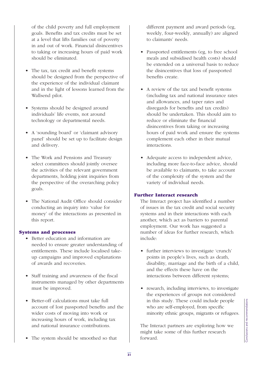of the child poverty and full employment goals. Benefits and tax credits must be set at a level that lifts families out of poverty in and out of work. Financial disincentives to taking or increasing hours of paid work should be eliminated.

- The tax, tax credit and benefit systems should be designed from the perspective of the experience of the individual claimant and in the light of lessons learned from the Wallsend pilot.
- Systems should be designed around individuals' life events, not around technology or departmental needs.
- A 'sounding board' or 'claimant advisory panel' should be set up to facilitate design and delivery.
- The Work and Pensions and Treasury select committees should jointly oversee the activities of the relevant government departments, holding joint inquiries from the perspective of the overarching policy goals.
- The National Audit Office should consider conducting an inquiry into 'value for money' of the interactions as presented in this report.

#### **Systems and processes**

- Better education and information are needed to ensure greater understanding of entitlements. These include localised takeup campaigns and improved explanations of awards and recoveries.
- Staff training and awareness of the fiscal instruments managed by other departments must be improved.
- Better-off calculations must take full account of lost passported benefits and the wider costs of moving into work or increasing hours of work, including tax and national insurance contributions.
- The system should be smoothed so that

different payment and award periods (eg, weekly, four-weekly, annually) are aligned to claimants' needs.

- Passported entitlements (eg, to free school meals and subsidised health costs) should be extended on a universal basis to reduce the disincentives that loss of passported benefits create.
- A review of the tax and benefit systems (including tax and national insurance rates and allowances, and taper rates and disregards for benefits and tax credits) should be undertaken. This should aim to reduce or eliminate the financial disincentives from taking or increasing hours of paid work and ensure the systems complement each other in their mutual interactions.
- Adequate access to independent advice, including more face-to-face advice, should be available to claimants, to take account of the complexity of the system and the variety of individual needs.

#### **Further Interact research**

The Interact project has identified a number of issues in the tax credit and social security systems and in their interactions with each another, which act as barriers to parental employment. Our work has suggested a number of ideas for further research, which include:

- further interviews to investigate 'crunch' points in people's lives, such as death, disability, marriage and the birth of a child, and the effects these have on the interactions between different systems;
- research, including interviews, to investigate the experiences of groups not considered in this study. These could include people who are self-employed, from specific minority ethnic groups, migrants or refugees.

The Interact partners are exploring how we might take some of this further research Forward.<br>
The Interact partners are exploring how we<br>
might take some of this further research<br>
forward.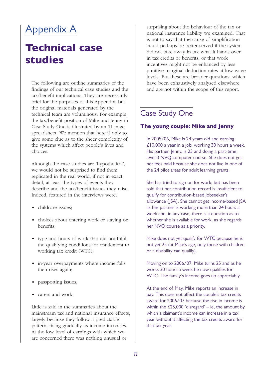## Appendix A

## **Technical case studies**

The following are outline summaries of the findings of our technical case studies and the tax/benefit implications. They are necessarily brief for the purposes of this Appendix, but the original materials generated by the technical team are voluminous. For example, the tax/benefit position of Mike and Jenny in Case Study One is illustrated by an 11-page spreadsheet. We mention that here if only to give some clue as to the sheer complexity of the systems which affect people's lives and choices.

Although the case studies are 'hypothetical', we would not be surprised to find them replicated in the real world, if not in exact detail, at least the types of events they describe and the tax/benefit issues they raise. Indeed, featured in the interviews were:

- childcare issues;
- choices about entering work or staying on benefits;
- type and hours of work that did not fulfil the qualifying conditions for entitlement to working tax credit (WTC);
- in-year overpayments where income falls then rises again;
- passporting issues;
- carers and work.

Little is said in the summaries about the mainstream tax and national insurance effects, largely because they follow a predictable pattern, rising gradually as income increases. At the low level of earnings with which we are concerned there was nothing unusual or

surprising about the behaviour of the tax or national insurance liability we examined. That is not to say that the cause of simplification could perhaps be better served if the system did not take away in tax what it hands over in tax credits or benefits, or that work incentives might not be enhanced by less punitive marginal deduction rates at low wage levels. But these are broader questions, which have been exhaustively analysed elsewhere and are not within the scope of this report.

### Case Study One

#### **The young couple: Mike and Jenny**

In 2005/06, Mike is 24 years old and earning £10,000 a year in a job, working 30 hours a week. His partner, Jenny, is 23 and doing a part-time level 3 NVQ computer course. She does not get her fees paid because she does not live in one of the 24 pilot areas for adult learning grants.

She has tried to sign on for work, but has been told that her contribution record is insufficient to qualify for contribution-based jobseeker's allowance (JSA). She cannot get income-based JSA as her partner is working more than 24 hours a week and, in any case, there is a question as to whether she is available for work, as she regards her NVQ course as a priority.

Mike does not yet qualify for WTC because he is not yet 25 (at Mike's age, only those with children or a disability can qualify).

Moving on to 2006/07, Mike turns 25 and as he works 30 hours a week he now qualifies for WTC. The family's income goes up appreciably.

At the end of May, Mike reports an increase in pay. This does not affect the couple's tax credits award for 2006/07 because the rise in income is within the  $£25,000$  'disregard' – ie, the amount by which a claimant's income can increase in a tax year without it affecting the tax credits award for that tax year.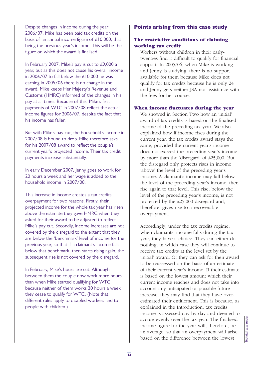Despite changes in income during the year 2006/07, Mike has been paid tax credits on the basis of an annual income figure of £10,000, that being the previous year's income. This will be the figure on which the award is finalised.

In February 2007, Mike's pay is cut to £9,000 a year, but as this does not cause his overall income in 2006/07 to fall below the £10,000 he was earning in 2005/06 there is no change in the award. Mike keeps Her Majesty's Revenue and Customs (HMRC) informed of the changes in his pay at all times. Because of this, Mike's first payments of WTC in 2007/08 reflect the actual income figures for 2006/07, despite the fact that his income has fallen.

But with Mike's pay cut, the household's income in 2007/08 is bound to drop. Mike therefore asks for his 2007/08 award to reflect the couple's current year's projected income. Their tax credit payments increase substantially.

In early December 2007, Jenny goes to work for 20 hours a week and her wage is added to the household income in 2007/08.

This increase in income creates a tax credits overpayment for two reasons. Firstly, their projected income for the whole tax year has risen above the estimate they gave HMRC when they asked for their award to be adjusted to reflect Mike's pay cut. Secondly, income increases are not covered by the disregard to the extent that they are below the 'benchmark' level of income for the previous year, so that if a claimant's income falls below that benchmark, then starts rising again, the subsequent rise is not covered by the disregard.

In February, Mike's hours are cut. Although between them the couple now work more hours than when Mike started qualifying for WTC, because neither of them works 30 hours a week they cease to qualify for WTC. (Note that different rules apply to disabled workers and to people with children.)

#### **Points arising from this case study**

#### **The restrictive conditions of claiming working tax credit**

Workers without children in their earlytwenties find it difficult to qualify for financial support. In 2005/06, when Mike is working and Jenny is studying, there is no support available for them because Mike does not qualify for tax credits because he is only 24 and Jenny gets neither JSA nor assistance with the fees for her course.

#### **When income fluctuates during the year**

We showed in Section Two how an 'initial' award of tax credits is based on the finalised income of the preceding tax year. We also explained how if income rises during the current year, the tax credits award stays the same, provided the current year's income does not exceed the preceding year's income by more than the 'disregard' of £25,000. But the disregard only protects rises in income 'above' the level of the preceding year's income. A claimant's income may fall below the level of the preceding year's income, then rise again to that level. This rise, below the level of the preceding year's income, is not protected by the £25,000 disregard and, therefore, gives rise to a recoverable overpayment.

Accordingly, under the tax credits regime, when claimants' income falls during the tax year, they have a choice. They can either do nothing, in which case they will continue to receive tax credits at the level set by the 'initial' award. Or they can ask for their award to be reassessed on the basis of an estimate of their current year's income. If their estimate is based on the lowest amount which their current income reaches and does not take into account any anticipated or possible future increase, they may find that they have overestimated their entitlement. This is because, as explained in the Introduction, tax credits income is assessed day by day and deemed to accrue evenly over the tax year. The finalised income figure for the year will, therefore, be an average, so that an overpayment will arise accrue evenly over the tax year. The finalised<br>income figure for the year will, therefore, be<br>an average, so that an overpayment will arise<br>based on the difference between the lowest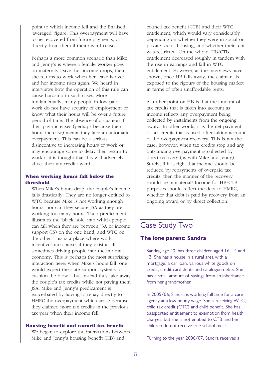point to which income fell and the finalised 'averaged' figure. This overpayment will have to be recovered from future payments, or directly from them if their award ceases.

Perhaps a more common scenario than Mike and Jenny's is where a female worker goes on maternity leave, her income drops, then she returns to work when her leave is over and her income rises again. We heard in interviews how the operation of this rule can cause hardship in such cases. More fundamentally, many people in low-paid work do not have security of employment or know what their hours will be over a future period of time. The absence of a cushion if their pay increases (perhaps because their hours increase) means they face an automatic overpayment. This can be a serious disincentive to increasing hours of work or may encourage some to delay their return to work if it is thought that this will adversely affect their tax credit award.

#### **When working hours fall below the threshold**

When Mike's hours drop, the couple's income falls drastically. They are no longer entitled to WTC because Mike is not working enough hours, nor can they secure JSA as they are working too many hours. Their predicament illustrates the 'black hole' into which people can fall when they are between JSA or income support (IS) on the one hand, and WTC on the other. This is a place where work incentives are sparse, if they exist at all, sometimes driving people into the informal economy. This is perhaps the most surprising interaction here: when Mike's hours fall, one would expect the state support systems to cushion the blow – but instead they take away the couple's tax credits while not paying them JSA. Mike and Jenny's predicament is exacerbated by having to repay directly to HMRC the overpayment which arose because they claimed more tax credits in the previous tax year when their income fell.

#### **Housing benefit and council tax benefit**

We began to explore the interactions between Mike and Jenny's housing benefit (HB) and

council tax benefit (CTB) and their WTC entitlement, which would vary considerably depending on whether they were in social or private sector housing, and whether their rent was restricted. On the whole, HB/CTB entitlement decreased roughly in tandem with the rise in earnings and fall in WTC entitlement. However, as the interviews have shown, once HB falls away, the claimant is exposed to the rigours of the housing market in terms of often unaffordable rents.

A further point on HB is that the amount of tax credits that is taken into account as income reflects any overpayment being collected by instalments from the ongoing award. In other words, it is the net payment of tax credits that is used, after taking account of the overpayment recovery. This is not the case, however, when tax credits stop and any outstanding overpayment is collected by direct recovery (as with Mike and Jenny). Surely, if it is right that income should be reduced by repayments of overpaid tax credits, then the manner of the recovery should be immaterial? Income for HB/CTB purposes should reflect the debt to HMRC, whether that debt is paid by recovery from an ongoing award or by direct collection.

### Case Study Two

#### **The lone parent: Sandra**

Sandra, age 40, has three children aged 16, 14 and 13. She has a house in a rural area with a mortgage, a car loan, various white goods on credit, credit card debts and catalogue debts. She has a small amount of savings from an inheritance from her grandmother.

In 2005/06, Sandra is working full time for a care agency at a low hourly wage. She is receiving WTC, child tax credit (CTC) and child benefit. She has passported entitlement to exemption from health charges, but she is not entitled to CTB and her children do not receive free school meals.

Turning to the year 2006/07, Sandra receives a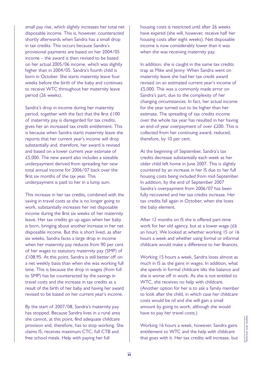small pay rise, which slightly increases her total net disposable income. This is, however, counteracted shortly afterwards when Sandra has a small drop in tax credits. This occurs because Sandra's provisional payments are based on her 2004/05 income – the award is then revised to be based on her actual 2005/06 income, which was slightly higher than in 2004/05. Sandra's fourth child is born in October. She starts maternity leave four weeks before the birth of the baby and continues to receive WTC throughout her maternity leave period (26 weeks).

Sandra's drop in income during her maternity period, together with the fact that the first £100 of maternity pay is disregarded for tax credits, gives her an increased tax credit entitlement. This is because when Sandra starts maternity leave she reports that her current year's income will drop substantially and, therefore, her award is revised and based on a lower current year estimate of £5,000. The new award also includes a sizeable underpayment derived from spreading her new total annual income for 2006/07 back over the first six months of the tax year. This underpayment is paid to her in a lump sum.

This increase in her tax credits, combined with the saving in travel costs as she is no longer going to work, substantially increases her net disposable income during the first six weeks of her maternity leave. Her tax credits go up again when her baby is born, bringing about another increase in her net disposable income. But this is short lived, as after six weeks, Sandra faces a large drop in income when her maternity pay reduces from 90 per cent of her wages to statutory maternity pay (SMP) of £108.95. At this point, Sandra is still better off on a net weekly basis than when she was working full time. This is because the drop in wages (from full to SMP) has be counteracted by the savings in travel costs and the increase in tax credits as a result of the birth of her baby and having her award revised to be based on her current year's income.

By the start of 2007/08, Sandra's maternity pay has stopped. Because Sandra lives in a rural area she cannot, at this point, find adequate childcare provision and, therefore, has to stop working. She claims IS, receives maximum CTC, full CTB and free school meals. Help with paying her full

housing costs is restricted until after 26 weeks have expired (she will, however, receive half her housing costs after eight weeks). Net disposable income is now considerably lower than it was when she was receiving maternity pay.

In addition, she is caught in the same tax credits trap as Mike and Jenny. When Sandra went on maternity leave she had her tax credit award revised on an estimated current year's income of £5,000. This was a commonly made error on Sandra's part, due to the complexity of her changing circumstances. In fact, her actual income for the year turned out to be higher than her estimate. The spreading of tax credits income over the whole tax year has resulted in her having an end-of-year overpayment of over £200. This is collected from her continuing award, reduced, therefore, by 10 per cent.

At the beginning of September, Sandra's tax credits decrease substantially each week as her older child left home in June 2007. This is slightly countered by an increase in her IS due to her full housing costs being included from mid-September. In addition, by the end of September 2007 Sandra's overpayment from 2006/07 has been fully recovered and her tax credits increase. Her tax credits fall again in October, when she loses the baby element.

After 12 months on IS she is offered part-time work for her old agency, but at a lower wage (£6 an hour). We looked at whether working 15 or 16 hours a week and whether using formal or informal childcare would make a difference to her finances.

Working 15 hours a week, Sandra loses almost as much in IS as she gains in wages. In addition, what she spends in formal childcare tilts the balance and she is worse off in work. As she is not entitled to WTC, she receives no help with childcare. (Another option for her is to ask a family member to look after the child, in which case her childcare costs would be nil and she will gain a small amount by going to work, although she would have to pay her travel costs.)

Working 16 hours a week, however, Sandra gains entitlement to WTC and the help with childcare Working 16 hours a week, however, Sandra gains<br>entitlement to WTC and the help with childcare<br>that goes with it. Her tax credits will increase, but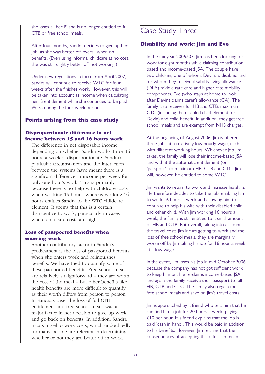she loses all her IS and is no longer entitled to full CTB or free school meals.

After four months, Sandra decides to give up her job, as she was better off overall when on benefits. (Even using informal childcare at no cost, she was still slightly better off not working.)

Under new regulations in force from April 2007, Sandra will continue to receive WTC for four weeks after she finishes work. However, this will be taken into account as income when calculating her IS entitlement while she continues to be paid WTC during the four-week period.

#### **Points arising from this case study**

#### **Disproportionate difference in net income between 15 and 16 hours work**

The difference in net disposable income depending on whether Sandra works 15 or 16 hours a week is disproportionate. Sandra's particular circumstances and the interaction between the systems have meant there is a significant difference in income per week for only one hour's work. This is primarily because there is no help with childcare costs when working 15 hours, whereas working 16 hours entitles Sandra to the WTC childcare element. It seems that this is a certain disincentive to work, particularly in cases where childcare costs are high.

#### **Loss of passported benefits when entering work**

Another contributory factor in Sandra's predicament is the loss of passported benefits when she enters work and relinquishes benefits. We have tried to quantify some of these passported benefits. Free school meals are relatively straightforward – they are worth the cost of the meal – but other benefits like health benefits are more difficult to quantify as their worth differs from person to person. In Sandra's case, the loss of full CTB entitlement and free school meals was a major factor in her decision to give up work and go back on benefits. In addition, Sandra incurs travel-to-work costs, which undoubtedly for many people are relevant in determining whether or not they are better off in work.

#### Case Study Three

#### **Disability and work: Jim and Eve**

In the tax year 2006/07, Jim has been looking for work for eight months while claiming contributionbased and income-based JSA. The couple have two children, one of whom, Devin, is disabled and for whom they receive disability living allowance (DLA) middle rate care and higher rate mobility components. Eve (who stays at home to look after Devin) claims carer's allowance (CA). The family also receives full HB and CTB, maximum CTC (including the disabled child element for Devin) and child benefit. In addition, they get free school meals and are exempt from NHS charges.

At the beginning of August 2006, Jim is offered three jobs at a relatively low hourly wage, each with different working hours. Whichever job Jim takes, the family will lose their income-based JSA and with it the automatic entitlement (or 'passport') to maximum HB, CTB and CTC. Jim will, however, be entitled to some WTC.

Jim wants to return to work and increase his skills. He therefore decides to take the job, enabling him to work 16 hours a week and allowing him to continue to help his wife with their disabled child and other child. With Jim working 16 hours a week, the family is still entitled to a small amount of HB and CTB. But overall, taking into account the travel costs Jim incurs getting to work and the loss of free school meals, they are marginally worse off by Jim taking his job for 16 hour a week at a low wage.

In the event, Jim loses his job in mid-October 2006 because the company has not got sufficient work to keep him on. He re-claims income-based JSA and again the family receive their passport to full HB, CTB and CTC. The family also regain their free school meals and save on Jim's travel costs.

Jim is approached by a friend who tells him that he can find him a job for 20 hours a week, paying £10 per hour. His friend explains that the job is paid 'cash in hand'. This would be paid in addition to his benefits. However, Jim realises that the consequences of accepting this offer can mean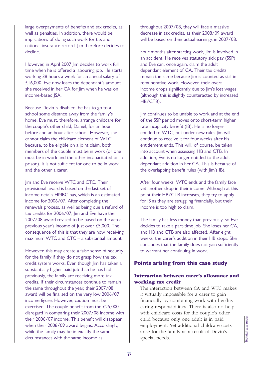large overpayments of benefits and tax credits, as well as penalties. In addition, there would be implications of doing such work for tax and national insurance record. Jim therefore decides to decline.

However, in April 2007 Jim decides to work full time when he is offered a labouring job. He starts working 38 hours a week for an annual salary of £16,000. Eve now loses the dependant's amount she received in her CA for Jim when he was on income-based JSA.

Because Devin is disabled, he has to go to a school some distance away from the family's home. Eve must, therefore, arrange childcare for the couple's other child, Daniel, for an hour before and an hour after school. However, she cannot claim the childcare element of WTC because, to be eligible on a joint claim, both members of the couple must be in work (or one must be in work and the other incapacitated or in prison). It is not sufficient for one to be in work and the other a carer.

Jim and Eve receive WTC and CTC. Their provisional award is based on the last set of income details HMRC has, which is an estimated income for 2006/07. After completing the renewals process, as well as being due a refund of tax credits for 2006/07, Jim and Eve have their 2007/08 award revised to be based on the actual previous year's income of just over £5,000. The consequence of this is that they are now receiving maximum WTC and CTC – a substantial amount.

However, this may create a false sense of security for the family if they do not grasp how the tax credit system works. Even though Jim has taken a substantially higher paid job than he has had previously, the family are receiving more tax credits. If their circumstances continue to remain the same throughout the year, their 2007/08 award will be finalised on the very low 2006/07 income figure. However, caution must be exercised. The couple benefit from the £25,000 disregard in comparing their 2007/08 income with their 2006/07 income. This benefit will disappear when their 2008/09 award begins. Accordingly, while the family may be in exactly the same circumstances with the same income as

throughout 2007/08, they will face a massive decrease in tax credits, as their 2008/09 award will be based on their actual earnings in 2007/08.

Four months after starting work, Jim is involved in an accident. He receives statutory sick pay (SSP) and Eve can, once again, claim the adult dependant element of CA. Their tax credits remain the same because lim is counted as still in remunerative work. However, their overall income drops significantly due to Jim's lost wages (although this is slightly counteracted by increased HB/CTB).

Jim continues to be unable to work and at the end of the SSP period moves onto short-term higher rate incapacity benefit (IB). He is no longer entitled to WTC, but under new rules Jim will continue to receive it for four weeks after his entitlement ends. This will, of course, be taken into account when assessing HB and CTB. In addition, Eve is no longer entitled to the adult dependant addition in her CA. This is because of the overlapping benefit rules (with Jim's IB).

After four weeks, WTC ends and the family face yet another drop in their income. Although at this point their HB/CTB increases, they try to apply for IS as they are struggling financially, but their income is too high to claim.

The family has less money than previously, so Eve decides to take a part-time job. She loses her CA, and HB and CTB are also affected. After eight weeks, the carer's addition in their HB stops. She concludes that the family does not gain sufficiently to warrant her continuing in work.

#### **Points arising from this case study**

#### **Interaction between carer's allowance and working tax credit**

The interaction between CA and WTC makes it virtually impossible for a carer to gain financially by combining work with her/his caring responsibilities. There is also no help with childcare costs for the couple's other child because only one adult is in paid employment. Yet additional childcare costs arise for the family as a result of Devin's child because only one adult is in paid<br>employment. Yet additional childcare costs<br>arise for the family as a result of Devin's<br>special needs.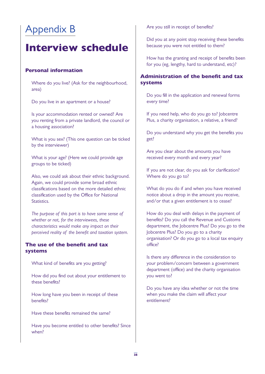## Appendix B

## **Interview schedule**

#### **Personal information**

Where do you live? (Ask for the neighbourhood, area)

Do you live in an apartment or a house?

Is your accommodation rented or owned? Are you renting from a private landlord, the council or a housing association?

What is you sex? (This one question can be ticked by the interviewer)

What is your age? (Here we could provide age groups to be ticked)

Also, we could ask about their ethnic background. Again, we could provide some broad ethnic classifications based on the more detailed ethnic classification used by the Office for National Statistics.

*The purpose of this part is to have some sense of whether or not, for the interviewees, these characteristics would make any impact on their perceived reality of the benefit and taxation system.*

#### **The use of the benefit and tax systems**

What kind of benefits are you getting?

How did you find out about your entitlement to these benefits?

How long have you been in receipt of these benefits?

Have these benefits remained the same?

Have you become entitled to other benefits? Since when?

Are you still in receipt of benefits?

Did you at any point stop receiving these benefits because you were not entitled to them?

How has the granting and receipt of benefits been for you (eg, lengthy, hard to understand, etc)?

#### **Administration of the benefit and tax systems**

Do you fill in the application and renewal forms every time?

If you need help, who do you go to? Jobcentre Plus, a charity organisation, a relative, a friend?

Do you understand why you get the benefits you get?

Are you clear about the amounts you have received every month and every year?

If you are not clear, do you ask for clarification? Where do you go to?

What do you do if and when you have received notice about a drop in the amount you receive, and/or that a given entitlement is to cease?

How do you deal with delays in the payment of benefits? Do you call the Revenue and Customs department, the Jobcentre Plus? Do you go to the Jobcentre Plus? Do you go to a charity organisation? Or do you go to a local tax enquiry office?

Is there any difference in the consideration to your problem/concern between a government department (office) and the charity organisation you went to?

Do you have any idea whether or not the time when you make the claim will affect your entitlement?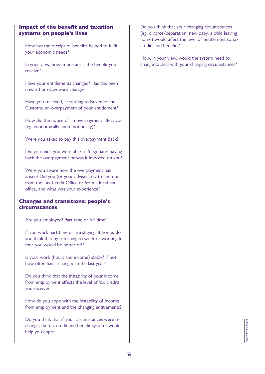#### **Impact of the benefit and taxation systems on people's lives**

How has the receipt of benefits helped to fulfil your economic needs?

In your view, how important is the benefit you receive?

Have your entitlements changed? Has this been upward or downward change?

Have you received, according to Revenue and Customs, an overpayment of your entitlement?

How did the notice of an overpayment affect you (eg, economically and emotionally)?

Were you asked to pay this overpayment back?

Did you think you were able to 'negotiate' paying back the overpayment or was it imposed on you?

Were you aware how the overpayment had arisen? Did you (or your adviser) try to find out from the Tax Credit Office or from a local tax office, and what was your experience?

#### **Changes and transitions: people's circumstances**

Are you employed? Part time or full time?

If you work part time or are staying at home, do you think that by returning to work or working full time you would be better off?

Is your work (hours and income) stable? If not, how often has it changed in the last year?

Do you think that the instability of your income from employment affects the level of tax credits you receive?

How do you cope with the instability of income from employment and the changing entitlements?

Do you think that if your circumstances were to change, the tax credit and benefit systems would help you cope?

Do you think that your changing circumstances (eg, divorce/separation, new baby, a child leaving home) would affect the level of entitlement to tax credits and benefits?

How, in your view, would the system need to change to deal with your changing circumstances?